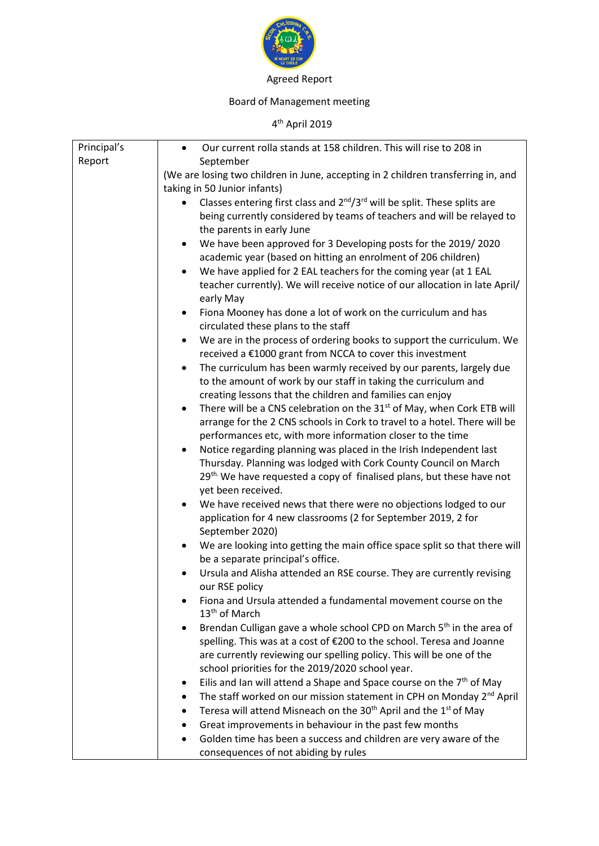

## Agreed Report

## Board of Management meeting

## 4<sup>th</sup> April 2019

| Principal's | Our current rolla stands at 158 children. This will rise to 208 in<br>$\bullet$                                                    |
|-------------|------------------------------------------------------------------------------------------------------------------------------------|
| Report      | September                                                                                                                          |
|             | (We are losing two children in June, accepting in 2 children transferring in, and                                                  |
|             | taking in 50 Junior infants)                                                                                                       |
|             | Classes entering first class and 2 <sup>nd</sup> /3 <sup>rd</sup> will be split. These splits are                                  |
|             | being currently considered by teams of teachers and will be relayed to                                                             |
|             | the parents in early June                                                                                                          |
|             | We have been approved for 3 Developing posts for the 2019/2020<br>$\bullet$                                                        |
|             | academic year (based on hitting an enrolment of 206 children)                                                                      |
|             | We have applied for 2 EAL teachers for the coming year (at 1 EAL<br>$\bullet$                                                      |
|             | teacher currently). We will receive notice of our allocation in late April/<br>early May                                           |
|             | Fiona Mooney has done a lot of work on the curriculum and has<br>$\bullet$                                                         |
|             | circulated these plans to the staff                                                                                                |
|             | We are in the process of ordering books to support the curriculum. We<br>$\bullet$                                                 |
|             | received a €1000 grant from NCCA to cover this investment                                                                          |
|             | The curriculum has been warmly received by our parents, largely due<br>$\bullet$                                                   |
|             | to the amount of work by our staff in taking the curriculum and                                                                    |
|             | creating lessons that the children and families can enjoy                                                                          |
|             | There will be a CNS celebration on the 31 <sup>st</sup> of May, when Cork ETB will<br>$\bullet$                                    |
|             | arrange for the 2 CNS schools in Cork to travel to a hotel. There will be                                                          |
|             | performances etc, with more information closer to the time                                                                         |
|             | Notice regarding planning was placed in the Irish Independent last<br>$\bullet$                                                    |
|             | Thursday. Planning was lodged with Cork County Council on March                                                                    |
|             | 29 <sup>th</sup> We have requested a copy of finalised plans, but these have not                                                   |
|             | yet been received.                                                                                                                 |
|             | We have received news that there were no objections lodged to our<br>application for 4 new classrooms (2 for September 2019, 2 for |
|             | September 2020)                                                                                                                    |
|             | We are looking into getting the main office space split so that there will<br>$\bullet$                                            |
|             | be a separate principal's office.                                                                                                  |
|             | Ursula and Alisha attended an RSE course. They are currently revising                                                              |
|             | our RSE policy                                                                                                                     |
|             | Fiona and Ursula attended a fundamental movement course on the                                                                     |
|             | 13 <sup>th</sup> of March                                                                                                          |
|             | Brendan Culligan gave a whole school CPD on March 5 <sup>th</sup> in the area of<br>٠                                              |
|             | spelling. This was at a cost of €200 to the school. Teresa and Joanne                                                              |
|             | are currently reviewing our spelling policy. This will be one of the                                                               |
|             | school priorities for the 2019/2020 school year.                                                                                   |
|             | Eilis and Ian will attend a Shape and Space course on the $7th$ of May<br>٠                                                        |
|             | The staff worked on our mission statement in CPH on Monday 2 <sup>nd</sup> April                                                   |
|             | Teresa will attend Misneach on the 30 <sup>th</sup> April and the 1 <sup>st</sup> of May                                           |
|             | Great improvements in behaviour in the past few months                                                                             |
|             | Golden time has been a success and children are very aware of the                                                                  |
|             | consequences of not abiding by rules                                                                                               |